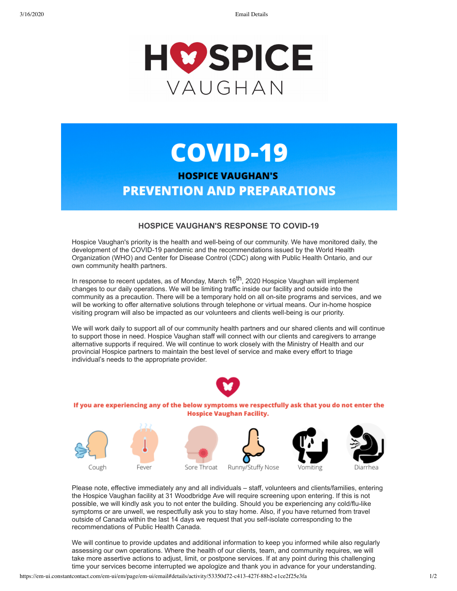3/16/2020 Email Details



## **COVID-19**

## **HOSPICE VAUGHAN'S PREVENTION AND PREPARATIONS**

## **HOSPICE VAUGHAN'S RESPONSE TO COVID-19**

Hospice Vaughan's priority is the health and well-being of our community. We have monitored daily, the development of the COVID-19 pandemic and the recommendations issued by the World Health Organization (WHO) and Center for Disease Control (CDC) along with Public Health Ontario, and our own community health partners.

In response to recent updates, as of Monday, March  $16<sup>th</sup>$ , 2020 Hospice Vaughan will implement changes to our daily operations. We will be limiting traffic inside our facility and outside into the community as a precaution. There will be a temporary hold on all on-site programs and services, and we will be working to offer alternative solutions through telephone or virtual means. Our in-home hospice visiting program will also be impacted as our volunteers and clients well-being is our priority.

We will work daily to support all of our community health partners and our shared clients and will continue to support those in need. Hospice Vaughan staff will connect with our clients and caregivers to arrange alternative supports if required. We will continue to work closely with the Ministry of Health and our provincial Hospice partners to maintain the best level of service and make every effort to triage individual's needs to the appropriate provider.



If you are experiencing any of the below symptoms we respectfully ask that you do not enter the **Hospice Vaughan Facility.** 



Please note, effective immediately any and all individuals – staff, volunteers and clients/families, entering the Hospice Vaughan facility at 31 Woodbridge Ave will require screening upon entering. If this is not possible, we will kindly ask you to not enter the building. Should you be experiencing any cold/flu-like symptoms or are unwell, we respectfully ask you to stay home. Also, if you have returned from travel outside of Canada within the last 14 days we request that you self-isolate corresponding to the recommendations of Public Health Canada.

We will continue to provide updates and additional information to keep you informed while also regularly assessing our own operations. Where the health of our clients, team, and community requires, we will take more assertive actions to adjust, limit, or postpone services. If at any point during this challenging time your services become interrupted we apologize and thank you in advance for your understanding.